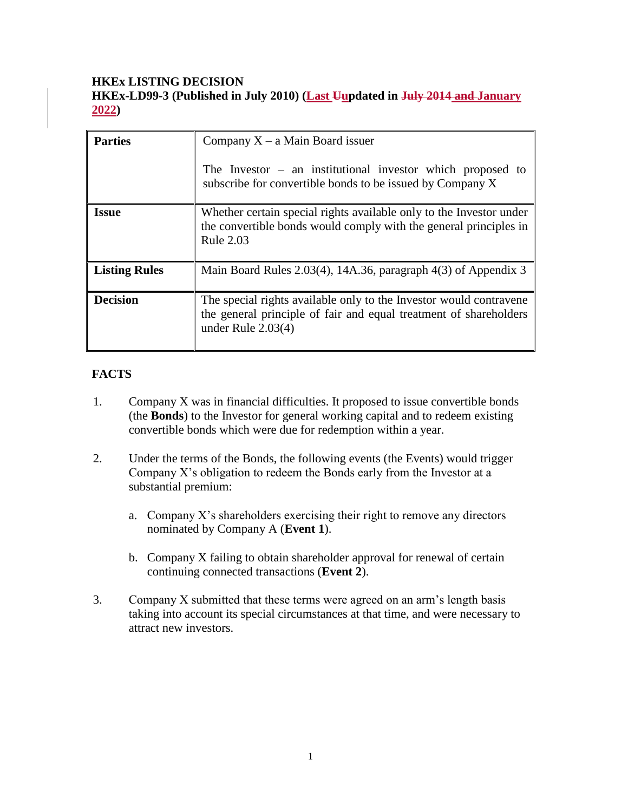## **HKEx LISTING DECISION**

**HKEx-LD99-3 (Published in July 2010) (Last Uupdated in July 2014 and January 2022)**

| <b>Parties</b>       | Company $X - a$ Main Board issuer                                                                                                                               |
|----------------------|-----------------------------------------------------------------------------------------------------------------------------------------------------------------|
|                      | The Investor $-$ an institutional investor which proposed to<br>subscribe for convertible bonds to be issued by Company X                                       |
| <b>Issue</b>         | Whether certain special rights available only to the Investor under<br>the convertible bonds would comply with the general principles in<br>Rule 2.03           |
| <b>Listing Rules</b> | Main Board Rules 2.03(4), 14A.36, paragraph $4(3)$ of Appendix 3                                                                                                |
| <b>Decision</b>      | The special rights available only to the Investor would contravene<br>the general principle of fair and equal treatment of shareholders<br>under Rule $2.03(4)$ |

# **FACTS**

- 1. Company X was in financial difficulties. It proposed to issue convertible bonds (the **Bonds**) to the Investor for general working capital and to redeem existing convertible bonds which were due for redemption within a year.
- 2. Under the terms of the Bonds, the following events (the Events) would trigger Company X's obligation to redeem the Bonds early from the Investor at a substantial premium:
	- a. Company X's shareholders exercising their right to remove any directors nominated by Company A (**Event 1**).
	- b. Company X failing to obtain shareholder approval for renewal of certain continuing connected transactions (**Event 2**).
- 3. Company X submitted that these terms were agreed on an arm's length basis taking into account its special circumstances at that time, and were necessary to attract new investors.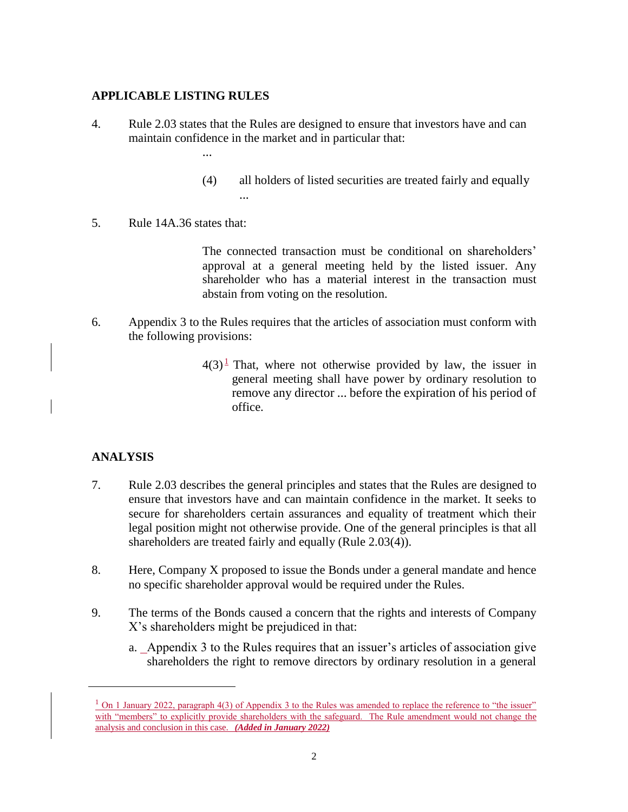### **APPLICABLE LISTING RULES**

...

- 4. Rule 2.03 states that the Rules are designed to ensure that investors have and can maintain confidence in the market and in particular that:
	- (4) all holders of listed securities are treated fairly and equally ...
- 5. Rule 14A.36 states that:

The connected transaction must be conditional on shareholders' approval at a general meeting held by the listed issuer. Any shareholder who has a material interest in the transaction must abstain from voting on the resolution.

- 6. Appendix 3 to the Rules requires that the articles of association must conform with the following provisions:
	- $4(3)^{\frac{1}{2}}$  That, where not otherwise provided by law, the issuer in general meeting shall have power by ordinary resolution to remove any director ... before the expiration of his period of office.

## **ANALYSIS**

 $\overline{a}$ 

- 7. Rule 2.03 describes the general principles and states that the Rules are designed to ensure that investors have and can maintain confidence in the market. It seeks to secure for shareholders certain assurances and equality of treatment which their legal position might not otherwise provide. One of the general principles is that all shareholders are treated fairly and equally (Rule 2.03(4)).
- 8. Here, Company X proposed to issue the Bonds under a general mandate and hence no specific shareholder approval would be required under the Rules.
- 9. The terms of the Bonds caused a concern that the rights and interests of Company X's shareholders might be prejudiced in that:
	- a. Appendix 3 to the Rules requires that an issuer's articles of association give shareholders the right to remove directors by ordinary resolution in a general

 $\frac{1}{1}$  On 1 January 2022, paragraph 4(3) of Appendix 3 to the Rules was amended to replace the reference to "the issuer" with "members" to explicitly provide shareholders with the safeguard. The Rule amendment would not change the analysis and conclusion in this case. *(Added in January 2022)*